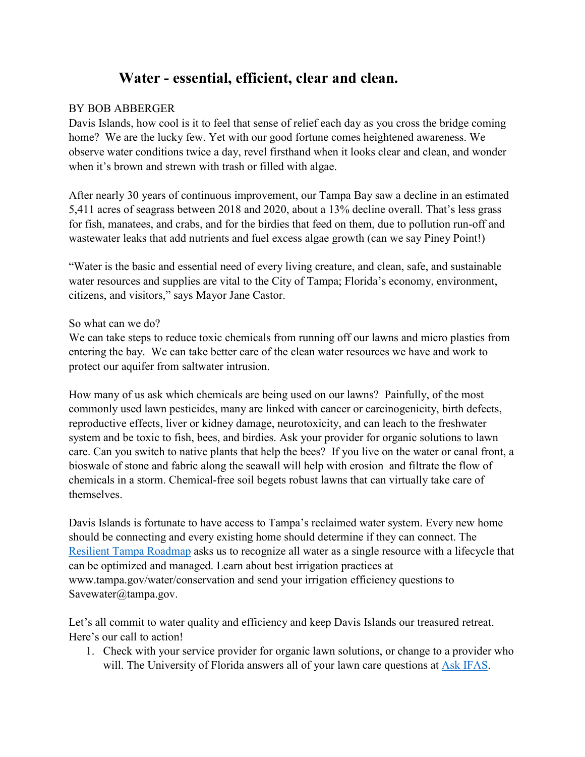## Water - essential, efficient, clear and clean.

## BY BOB ABBERGER

Davis Islands, how cool is it to feel that sense of relief each day as you cross the bridge coming home? We are the lucky few. Yet with our good fortune comes heightened awareness. We observe water conditions twice a day, revel firsthand when it looks clear and clean, and wonder when it's brown and strewn with trash or filled with algae.

After nearly 30 years of continuous improvement, our Tampa Bay saw a decline in an estimated 5,411 acres of seagrass between 2018 and 2020, about a 13% decline overall. That's less grass for fish, manatees, and crabs, and for the birdies that feed on them, due to pollution run-off and wastewater leaks that add nutrients and fuel excess algae growth (can we say Piney Point!)

"Water is the basic and essential need of every living creature, and clean, safe, and sustainable water resources and supplies are vital to the City of Tampa; Florida's economy, environment, citizens, and visitors," says Mayor Jane Castor.

## So what can we do?

We can take steps to reduce toxic chemicals from running off our lawns and micro plastics from entering the bay. We can take better care of the clean water resources we have and work to protect our aquifer from saltwater intrusion.

How many of us ask which chemicals are being used on our lawns? Painfully, of the most commonly used lawn pesticides, many are linked with cancer or carcinogenicity, birth defects, reproductive effects, liver or kidney damage, neurotoxicity, and can leach to the freshwater system and be toxic to fish, bees, and birdies. Ask your provider for organic solutions to lawn care. Can you switch to native plants that help the bees? If you live on the water or canal front, a bioswale of stone and fabric along the seawall will help with erosion and filtrate the flow of chemicals in a storm. Chemical-free soil begets robust lawns that can virtually take care of themselves. monly used lawn pesticides, many are linked with cancer or carcinogenicity, birth defcets,<br>coductive effects, liver or kidney damage, neurotoxicity, and can lead to the freshwater<br>em and be toxic to fish, bees, and birdies

Davis Islands is fortunate to have access to Tampa's reclaimed water system. Every new home should be connecting and every existing home should determine if they can connect. The Resilient Tampa Roadmap asks us to recognize all water as a single resource with a lifecycle that can be optimized and managed. Learn about best irrigation practices at www.tampa.gov/water/conservation and send your irrigation efficiency questions to Savewater@tampa.gov.

Let's all commit to water quality and efficiency and keep Davis Islands our treasured retreat. Here's our call to action!

will. The University of Florida answers all of your lawn care questions at Ask IFAS.